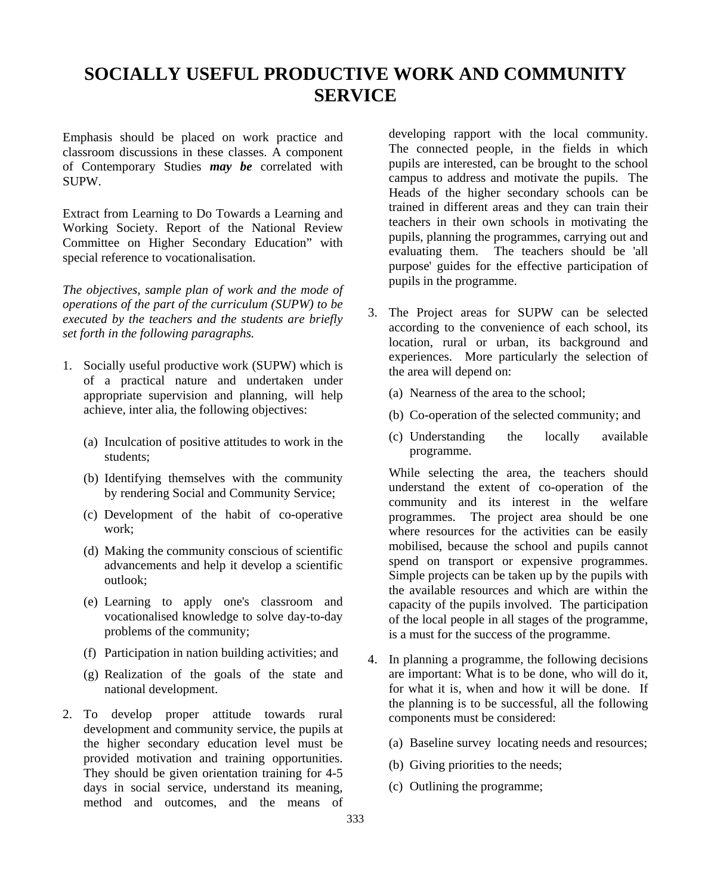# **SOCIALLY USEFUL PRODUCTIVE WORK AND COMMUNITY SERVICE**

Emphasis should be placed on work practice and classroom discussions in these classes. A component of Contemporary Studies *may be* correlated with SUPW.

Extract from Learning to Do Towards a Learning and Working Society. Report of the National Review Committee on Higher Secondary Education" with special reference to vocationalisation.

*The objectives, sample plan of work and the mode of operations of the part of the curriculum (SUPW) to be executed by the teachers and the students are briefly set forth in the following paragraphs.*

- 1. Socially useful productive work (SUPW) which is of a practical nature and undertaken under appropriate supervision and planning, will help achieve, inter alia, the following objectives:
	- (a) Inculcation of positive attitudes to work in the students;
	- (b) Identifying themselves with the community by rendering Social and Community Service;
	- (c) Development of the habit of co-operative work;
	- (d) Making the community conscious of scientific advancements and help it develop a scientific outlook;
	- (e) Learning to apply one's classroom and vocationalised knowledge to solve day-to-day problems of the community;
	- (f) Participation in nation building activities; and
	- (g) Realization of the goals of the state and national development.
- 2. To develop proper attitude towards rural development and community service, the pupils at the higher secondary education level must be provided motivation and training opportunities. They should be given orientation training for 4-5 days in social service, understand its meaning, method and outcomes, and the means of

developing rapport with the local community. The connected people, in the fields in which pupils are interested, can be brought to the school campus to address and motivate the pupils. The Heads of the higher secondary schools can be trained in different areas and they can train their teachers in their own schools in motivating the pupils, planning the programmes, carrying out and evaluating them. The teachers should be 'all purpose' guides for the effective participation of pupils in the programme.

- 3. The Project areas for SUPW can be selected according to the convenience of each school, its location, rural or urban, its background and experiences. More particularly the selection of the area will depend on:
	- (a) Nearness of the area to the school;
	- (b) Co-operation of the selected community; and
	- (c) Understanding the locally available programme.

While selecting the area, the teachers should understand the extent of co-operation of the community and its interest in the welfare programmes. The project area should be one where resources for the activities can be easily mobilised, because the school and pupils cannot spend on transport or expensive programmes. Simple projects can be taken up by the pupils with the available resources and which are within the capacity of the pupils involved. The participation of the local people in all stages of the programme, is a must for the success of the programme.

- 4. In planning a programme, the following decisions are important: What is to be done, who will do it, for what it is, when and how it will be done. If the planning is to be successful, all the following components must be considered:
	- (a) Baseline survey locating needs and resources;
	- (b) Giving priorities to the needs;
	- (c) Outlining the programme;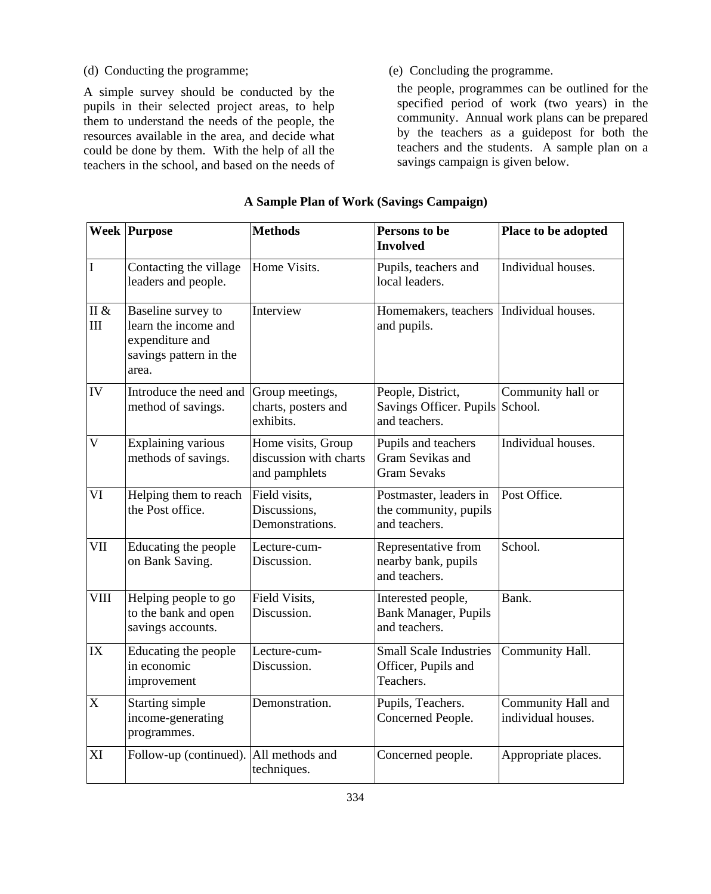(d) Conducting the programme; (e) Concluding the programme.

A simple survey should be conducted by the pupils in their selected project areas, to help them to understand the needs of the people, the resources available in the area, and decide what could be done by them. With the help of all the teachers in the school, and based on the needs of

the people, programmes can be outlined for the specified period of work (two years) in the community. Annual work plans can be prepared by the teachers as a guidepost for both the teachers and the students. A sample plan on a savings campaign is given below.

|                         | <b>Week Purpose</b>                                                                              | <b>Methods</b>                                                | Persons to be<br><b>Involved</b>                                      | Place to be adopted                      |  |
|-------------------------|--------------------------------------------------------------------------------------------------|---------------------------------------------------------------|-----------------------------------------------------------------------|------------------------------------------|--|
| I                       | Contacting the village<br>leaders and people.                                                    | Home Visits.                                                  | Pupils, teachers and<br>local leaders.                                | Individual houses.                       |  |
| II $\&$<br>$\rm III$    | Baseline survey to<br>learn the income and<br>expenditure and<br>savings pattern in the<br>area. | Interview                                                     | Homemakers, teachers<br>and pupils.                                   | Individual houses.                       |  |
| IV                      | Introduce the need and<br>method of savings.                                                     | Group meetings,<br>charts, posters and<br>exhibits.           | People, District,<br>Savings Officer. Pupils School.<br>and teachers. | Community hall or                        |  |
| $\overline{\mathsf{V}}$ | <b>Explaining various</b><br>methods of savings.                                                 | Home visits, Group<br>discussion with charts<br>and pamphlets | Pupils and teachers<br>Gram Sevikas and<br><b>Gram Sevaks</b>         | Individual houses.                       |  |
| VI                      | Helping them to reach<br>the Post office.                                                        | Field visits,<br>Discussions,<br>Demonstrations.              | Postmaster, leaders in<br>the community, pupils<br>and teachers.      | Post Office.                             |  |
| VII                     | Educating the people<br>on Bank Saving.                                                          | Lecture-cum-<br>Discussion.                                   | Representative from<br>nearby bank, pupils<br>and teachers.           | School.                                  |  |
| VIII                    | Helping people to go<br>to the bank and open<br>savings accounts.                                | Field Visits,<br>Discussion.                                  | Interested people,<br>Bank Manager, Pupils<br>and teachers.           | Bank.                                    |  |
| IX                      | Educating the people<br>in economic<br>improvement                                               | Lecture-cum-<br>Discussion.                                   | <b>Small Scale Industries</b><br>Officer, Pupils and<br>Teachers.     | Community Hall.                          |  |
| $\mathbf X$             | Starting simple<br>income-generating<br>programmes.                                              | Demonstration.                                                | Pupils, Teachers.<br>Concerned People.                                | Community Hall and<br>individual houses. |  |
| XI                      | Follow-up (continued).                                                                           | All methods and<br>techniques.                                | Concerned people.                                                     | Appropriate places.                      |  |

# **A Sample Plan of Work (Savings Campaign)**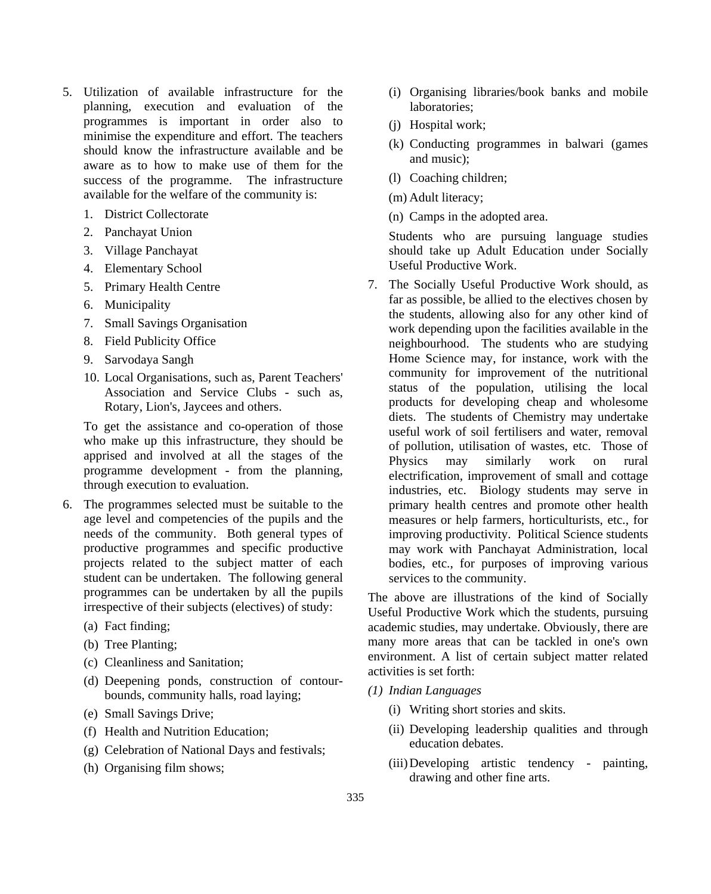- 5. Utilization of available infrastructure for the planning, execution and evaluation of the programmes is important in order also to minimise the expenditure and effort. The teachers should know the infrastructure available and be aware as to how to make use of them for the success of the programme. The infrastructure available for the welfare of the community is:
	- 1. District Collectorate
	- 2. Panchayat Union
	- 3. Village Panchayat
	- 4. Elementary School
	- 5. Primary Health Centre
	- 6. Municipality
	- 7. Small Savings Organisation
	- 8. Field Publicity Office
	- 9. Sarvodaya Sangh
	- 10. Local Organisations, such as, Parent Teachers' Association and Service Clubs - such as, Rotary, Lion's, Jaycees and others.

To get the assistance and co-operation of those who make up this infrastructure, they should be apprised and involved at all the stages of the programme development - from the planning, through execution to evaluation.

- 6. The programmes selected must be suitable to the age level and competencies of the pupils and the needs of the community. Both general types of productive programmes and specific productive projects related to the subject matter of each student can be undertaken. The following general programmes can be undertaken by all the pupils irrespective of their subjects (electives) of study:
	- (a) Fact finding;
	- (b) Tree Planting;
	- (c) Cleanliness and Sanitation;
	- (d) Deepening ponds, construction of contourbounds, community halls, road laying;
	- (e) Small Savings Drive;
	- (f) Health and Nutrition Education;
	- (g) Celebration of National Days and festivals;
	- (h) Organising film shows;
- (i) Organising libraries/book banks and mobile laboratories;
- (j) Hospital work;
- (k) Conducting programmes in balwari (games and music);
- (l) Coaching children;
- (m) Adult literacy;
- (n) Camps in the adopted area.

Students who are pursuing language studies should take up Adult Education under Socially Useful Productive Work.

7. The Socially Useful Productive Work should, as far as possible, be allied to the electives chosen by the students, allowing also for any other kind of work depending upon the facilities available in the neighbourhood. The students who are studying Home Science may, for instance, work with the community for improvement of the nutritional status of the population, utilising the local products for developing cheap and wholesome diets. The students of Chemistry may undertake useful work of soil fertilisers and water, removal of pollution, utilisation of wastes, etc. Those of Physics may similarly work on rural electrification, improvement of small and cottage industries, etc. Biology students may serve in primary health centres and promote other health measures or help farmers, horticulturists, etc., for improving productivity. Political Science students may work with Panchayat Administration, local bodies, etc., for purposes of improving various services to the community.

The above are illustrations of the kind of Socially Useful Productive Work which the students, pursuing academic studies, may undertake. Obviously, there are many more areas that can be tackled in one's own environment. A list of certain subject matter related activities is set forth:

- *(1) Indian Languages*
	- (i) Writing short stories and skits.
	- (ii) Developing leadership qualities and through education debates.
	- (iii)Developing artistic tendency painting, drawing and other fine arts.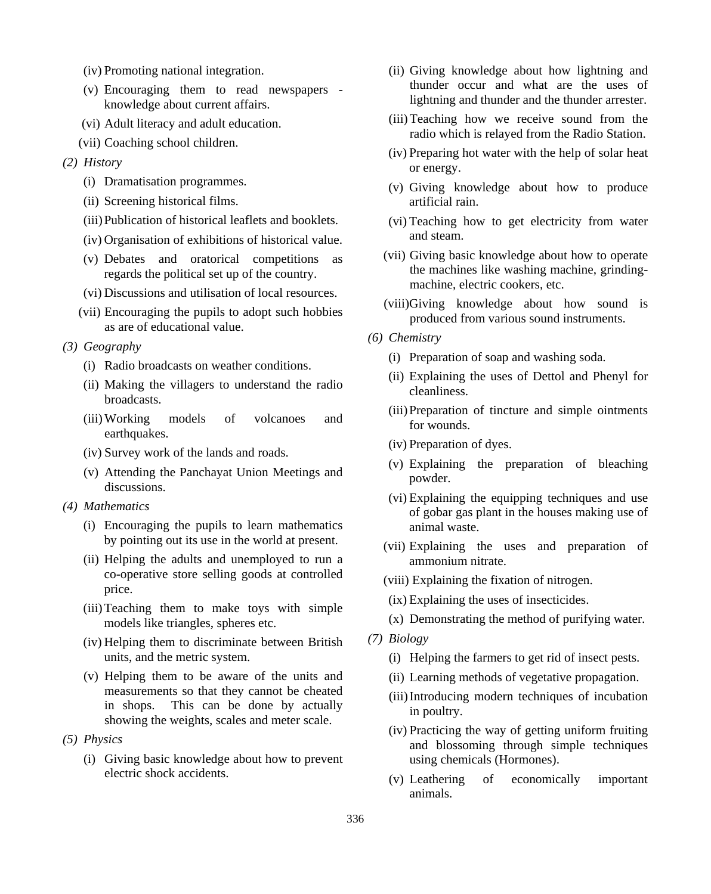- (iv) Promoting national integration.
- (v) Encouraging them to read newspapers knowledge about current affairs.
- (vi) Adult literacy and adult education.
- (vii) Coaching school children.
- *(2) History*
	- (i) Dramatisation programmes.
	- (ii) Screening historical films.
	- (iii)Publication of historical leaflets and booklets.
	- (iv) Organisation of exhibitions of historical value.
	- (v) Debates and oratorical competitions as regards the political set up of the country.
	- (vi) Discussions and utilisation of local resources.
	- (vii) Encouraging the pupils to adopt such hobbies as are of educational value.
- *(3) Geography*
	- (i) Radio broadcasts on weather conditions.
	- (ii) Making the villagers to understand the radio broadcasts.
	- (iii)Working models of volcanoes and earthquakes.
	- (iv) Survey work of the lands and roads.
	- (v) Attending the Panchayat Union Meetings and discussions.
- *(4) Mathematics*
	- (i) Encouraging the pupils to learn mathematics by pointing out its use in the world at present.
	- (ii) Helping the adults and unemployed to run a co-operative store selling goods at controlled price.
	- (iii)Teaching them to make toys with simple models like triangles, spheres etc.
	- (iv) Helping them to discriminate between British units, and the metric system.
	- (v) Helping them to be aware of the units and measurements so that they cannot be cheated in shops. This can be done by actually showing the weights, scales and meter scale.
- *(5) Physics*
	- (i) Giving basic knowledge about how to prevent electric shock accidents.
- (ii) Giving knowledge about how lightning and thunder occur and what are the uses of lightning and thunder and the thunder arrester.
- (iii)Teaching how we receive sound from the radio which is relayed from the Radio Station.
- (iv) Preparing hot water with the help of solar heat or energy.
- (v) Giving knowledge about how to produce artificial rain.
- (vi) Teaching how to get electricity from water and steam.
- (vii) Giving basic knowledge about how to operate the machines like washing machine, grindingmachine, electric cookers, etc.
- (viii)Giving knowledge about how sound is produced from various sound instruments.
- *(6) Chemistry*
	- (i) Preparation of soap and washing soda.
	- (ii) Explaining the uses of Dettol and Phenyl for cleanliness.
	- (iii)Preparation of tincture and simple ointments for wounds.
	- (iv) Preparation of dyes.
	- (v) Explaining the preparation of bleaching powder.
	- (vi) Explaining the equipping techniques and use of gobar gas plant in the houses making use of animal waste.
	- (vii) Explaining the uses and preparation of ammonium nitrate.
	- (viii) Explaining the fixation of nitrogen.
	- (ix) Explaining the uses of insecticides.
	- (x) Demonstrating the method of purifying water.
- *(7) Biology*
	- (i) Helping the farmers to get rid of insect pests.
	- (ii) Learning methods of vegetative propagation.
	- (iii)Introducing modern techniques of incubation in poultry.
	- (iv) Practicing the way of getting uniform fruiting and blossoming through simple techniques using chemicals (Hormones).
	- (v) Leathering of economically important animals.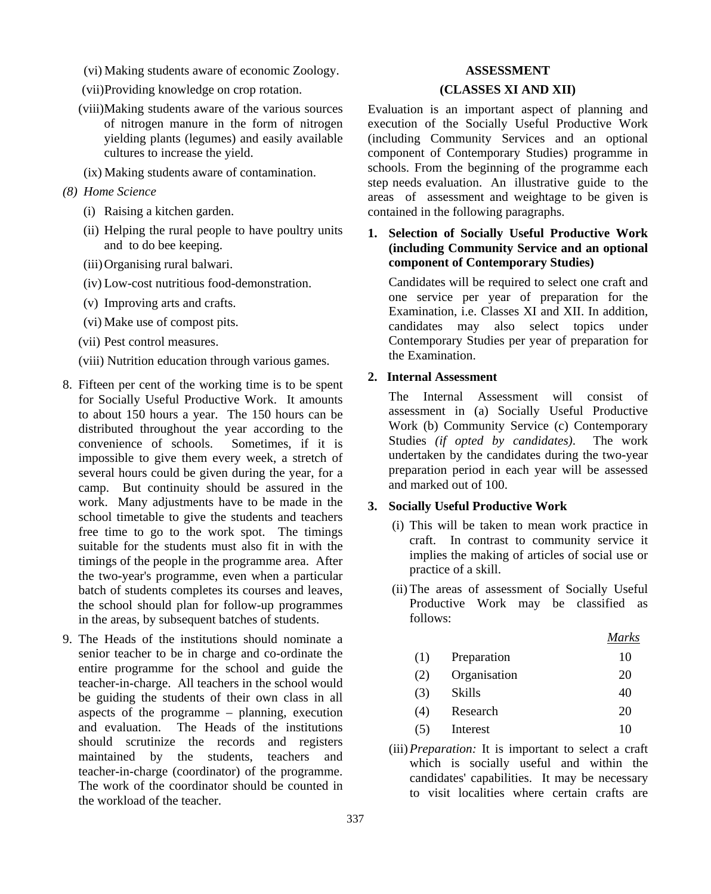- (vi) Making students aware of economic Zoology.
- (vii)Providing knowledge on crop rotation.
- (viii)Making students aware of the various sources of nitrogen manure in the form of nitrogen yielding plants (legumes) and easily available cultures to increase the yield.
- (ix) Making students aware of contamination.
- *(8) Home Science*
	- (i) Raising a kitchen garden.
	- (ii) Helping the rural people to have poultry units and to do bee keeping.
	- (iii)Organising rural balwari.
	- (iv) Low-cost nutritious food-demonstration.
	- (v) Improving arts and crafts.
	- (vi) Make use of compost pits.
	- (vii) Pest control measures.
	- (viii) Nutrition education through various games.
- 8. Fifteen per cent of the working time is to be spent for Socially Useful Productive Work. It amounts to about 150 hours a year. The 150 hours can be distributed throughout the year according to the convenience of schools. Sometimes, if it is convenience of schools. impossible to give them every week, a stretch of several hours could be given during the year, for a camp. But continuity should be assured in the work. Many adjustments have to be made in the school timetable to give the students and teachers free time to go to the work spot. The timings suitable for the students must also fit in with the timings of the people in the programme area. After the two-year's programme, even when a particular batch of students completes its courses and leaves, the school should plan for follow-up programmes in the areas, by subsequent batches of students.
- 9. The Heads of the institutions should nominate a senior teacher to be in charge and co-ordinate the entire programme for the school and guide the teacher-in-charge. All teachers in the school would be guiding the students of their own class in all aspects of the programme – planning, execution and evaluation. The Heads of the institutions should scrutinize the records and registers maintained by the students, teachers and teacher-in-charge (coordinator) of the programme. The work of the coordinator should be counted in the workload of the teacher.

# **ASSESSMENT (CLASSES XI AND XII)**

Evaluation is an important aspect of planning and execution of the Socially Useful Productive Work (including Community Services and an optional component of Contemporary Studies) programme in schools. From the beginning of the programme each step needs evaluation. An illustrative guide to the areas of assessment and weightage to be given is contained in the following paragraphs.

# **1. Selection of Socially Useful Productive Work (including Community Service and an optional component of Contemporary Studies)**

Candidates will be required to select one craft and one service per year of preparation for the Examination, i.e. Classes XI and XII. In addition, candidates may also select topics under Contemporary Studies per year of preparation for the Examination.

# **2. Internal Assessment**

The Internal Assessment will consist of assessment in (a) Socially Useful Productive Work (b) Community Service (c) Contemporary Studies *(if opted by candidates)*.The work undertaken by the candidates during the two-year preparation period in each year will be assessed and marked out of 100.

# **3. Socially Useful Productive Work**

- (i) This will be taken to mean work practice in craft. In contrast to community service it implies the making of articles of social use or practice of a skill.
- (ii) The areas of assessment of Socially Useful Productive Work may be classified as follows:

| $\prime\prime$<br>vı |
|----------------------|
|                      |

- (1) Preparation 10
- (2) Organisation 20
- (3) Skills 40
- (4) Research 20
- $(5)$  Interest  $10$
- (iii)*Preparation:* It is important to select a craft which is socially useful and within the candidates' capabilities. It may be necessary to visit localities where certain crafts are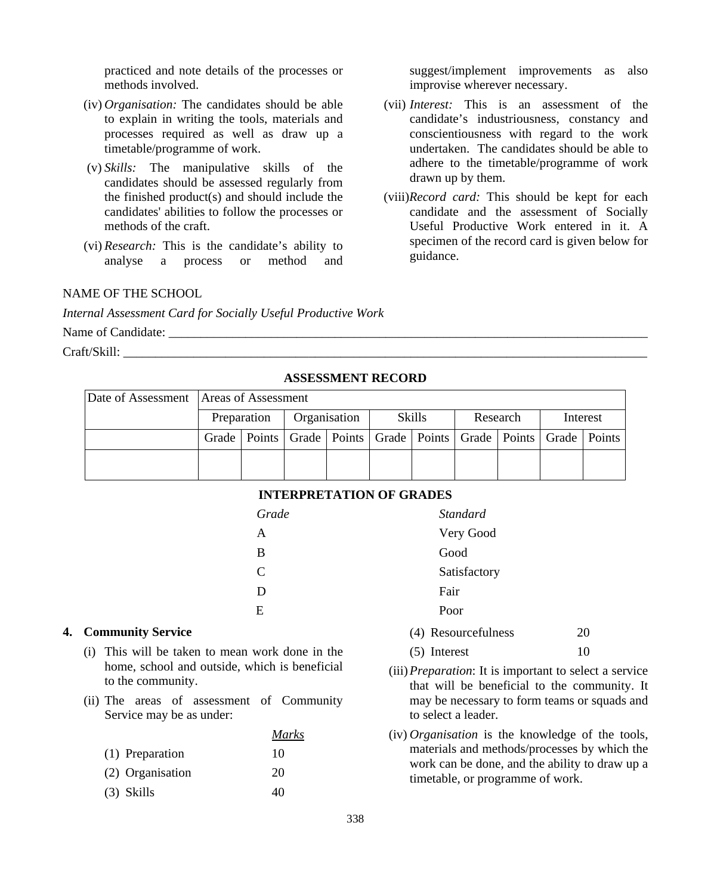practiced and note details of the processes or methods involved.

- (iv) *Organisation:* The candidates should be able to explain in writing the tools, materials and processes required as well as draw up a timetable/programme of work.
- (v) *Skills:* The manipulative skills of the candidates should be assessed regularly from the finished product(s) and should include the candidates' abilities to follow the processes or methods of the craft.
- (vi) *Research:* This is the candidate's ability to analyse a process or method and analyse a process or

#### NAME OF THE SCHOOL

*Internal Assessment Card for Socially Useful Productive Work*

Name of Candidate:

Craft/Skill:

# **ASSESSMENT RECORD**

| Date of Assessment Areas of Assessment |  |              |  |               |  |          |                                                                                    |          |  |
|----------------------------------------|--|--------------|--|---------------|--|----------|------------------------------------------------------------------------------------|----------|--|
| Preparation                            |  | Organisation |  | <b>Skills</b> |  | Research |                                                                                    | Interest |  |
|                                        |  |              |  |               |  |          | Grade   Points   Grade   Points   Grade   Points   Grade   Points   Grade   Points |          |  |
|                                        |  |              |  |               |  |          |                                                                                    |          |  |

#### **INTERPRETATION OF GRADES**

| Grade        | <b>Standard</b> |
|--------------|-----------------|
| A            | Very Good       |
| B            | Good            |
| $\mathsf{C}$ | Satisfactory    |
| D            | Fair            |
| E            | Poor            |
|              |                 |

#### **4. Community Service**

- (i) This will be taken to mean work done in the home, school and outside, which is beneficial to the community.
- (ii) The areas of assessment of Community Service may be as under:

|                  | <i>Marks</i> |
|------------------|--------------|
| (1) Preparation  | 10           |
| (2) Organisation | 20           |
| $(3)$ Skills     | 40           |

| improvise wherever necessary.                        |  |  |  |  |  |  |  |  |
|------------------------------------------------------|--|--|--|--|--|--|--|--|
| (vii) <i>Interest</i> : This is an assessment of the |  |  |  |  |  |  |  |  |

suggest/implement improvements as also

- candidate's industriousness, constancy and conscientiousness with regard to the work undertaken. The candidates should be able to adhere to the timetable/programme of work drawn up by them.
- (viii)*Record card:* This should be kept for each candidate and the assessment of Socially Useful Productive Work entered in it. A specimen of the record card is given below for guidance.

 $(5)$  Interest  $10$ 

(4) Resourcefulness 20

- (iii)*Preparation*: It is important to select a service that will be beneficial to the community. It may be necessary to form teams or squads and to select a leader.
- (iv) *Organisation* is the knowledge of the tools, materials and methods/processes by which the work can be done, and the ability to draw up a timetable, or programme of work.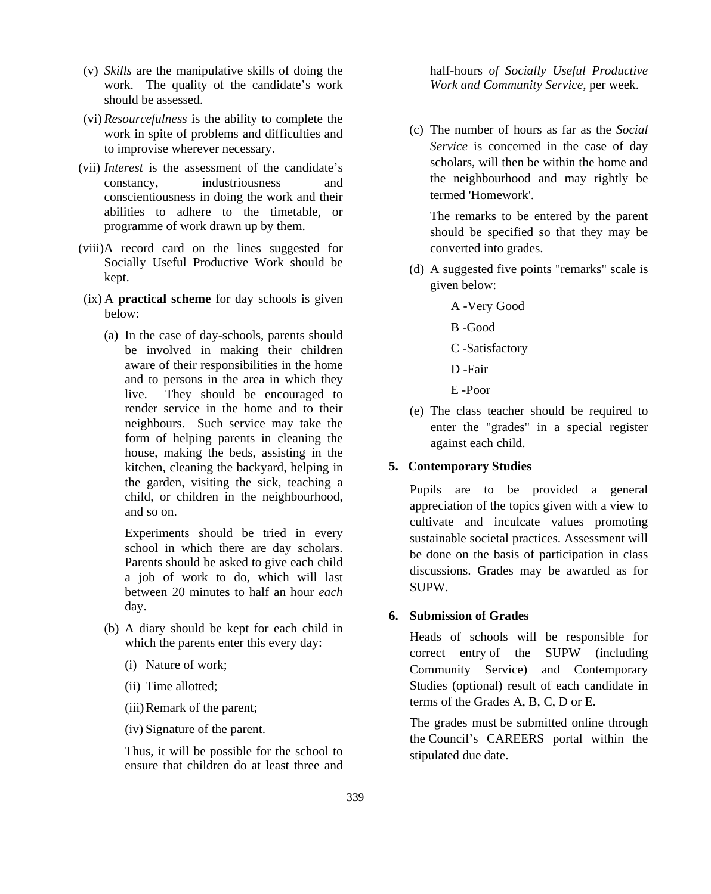- (v) *Skills* are the manipulative skills of doing the work. The quality of the candidate's work should be assessed.
- (vi) *Resourcefulness* is the ability to complete the work in spite of problems and difficulties and to improvise wherever necessary.
- (vii) *Interest* is the assessment of the candidate's constancy, industriousness and conscientiousness in doing the work and their abilities to adhere to the timetable, or programme of work drawn up by them.
- (viii)A record card on the lines suggested for Socially Useful Productive Work should be kept.
- (ix) A **practical scheme** for day schools is given below:
	- (a) In the case of day-schools, parents should be involved in making their children aware of their responsibilities in the home and to persons in the area in which they live. They should be encouraged to render service in the home and to their neighbours. Such service may take the form of helping parents in cleaning the house, making the beds, assisting in the kitchen, cleaning the backyard, helping in the garden, visiting the sick, teaching a child, or children in the neighbourhood, and so on.

Experiments should be tried in every school in which there are day scholars. Parents should be asked to give each child a job of work to do, which will last between 20 minutes to half an hour *each* day.

- (b) A diary should be kept for each child in which the parents enter this every day:
	- (i) Nature of work;
	- (ii) Time allotted;
	- (iii)Remark of the parent;
	- (iv) Signature of the parent.

Thus, it will be possible for the school to ensure that children do at least three and half-hours *of Socially Useful Productive Work and Community Service*, per week.

(c) The number of hours as far as the *Social Service* is concerned in the case of day scholars, will then be within the home and the neighbourhood and may rightly be termed 'Homework'.

The remarks to be entered by the parent should be specified so that they may be converted into grades.

- (d) A suggested five points "remarks" scale is given below:
	- A -Very Good
	- B -Good
	- C -Satisfactory
	- D -Fair
	- E -Poor
- (e) The class teacher should be required to enter the "grades" in a special register against each child.

#### **5. Contemporary Studies**

Pupils are to be provided a general appreciation of the topics given with a view to cultivate and inculcate values promoting sustainable societal practices. Assessment will be done on the basis of participation in class discussions. Grades may be awarded as for SUPW.

# **6. Submission of Grades**

Heads of schools will be responsible for correct entry of the SUPW (including Community Service) and Contemporary Studies (optional) result of each candidate in terms of the Grades A, B, C, D or E.

The grades must be submitted online through the Council's CAREERS portal within the stipulated due date.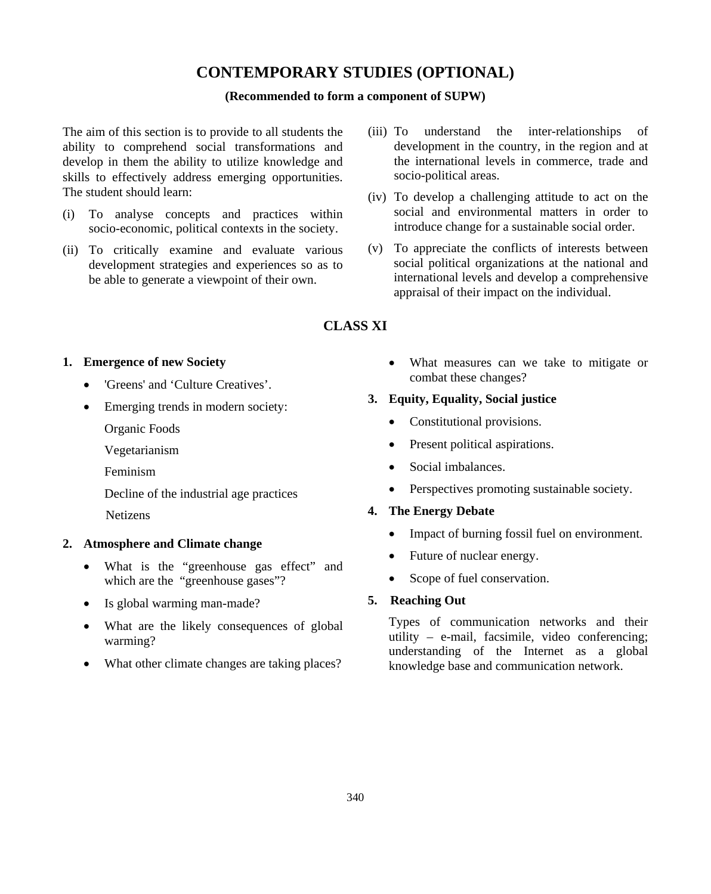# **CONTEMPORARY STUDIES (OPTIONAL)**

#### **(Recommended to form a component of SUPW)**

The aim of this section is to provide to all students the ability to comprehend social transformations and develop in them the ability to utilize knowledge and skills to effectively address emerging opportunities. The student should learn:

- (i) To analyse concepts and practices within socio-economic, political contexts in the society.
- (ii) To critically examine and evaluate various development strategies and experiences so as to be able to generate a viewpoint of their own.
- (iii) To understand the inter-relationships of development in the country, in the region and at the international levels in commerce, trade and socio-political areas.
- (iv) To develop a challenging attitude to act on the social and environmental matters in order to introduce change for a sustainable social order.
- (v) To appreciate the conflicts of interests between social political organizations at the national and international levels and develop a comprehensive appraisal of their impact on the individual.

# **CLASS XI**

#### **1. Emergence of new Society**

- 'Greens' and 'Culture Creatives'.
- Emerging trends in modern society:
	- Organic Foods
	- Vegetarianism
	- Feminism
	- Decline of the industrial age practices
	- Netizens

# **2. Atmosphere and Climate change**

- What is the "greenhouse gas effect" and which are the "greenhouse gases"?
- Is global warming man-made?
- What are the likely consequences of global warming?
- What other climate changes are taking places?

• What measures can we take to mitigate or combat these changes?

#### **3. Equity, Equality, Social justice**

- Constitutional provisions.
- Present political aspirations.
- Social imbalances.
- Perspectives promoting sustainable society.

# **4. The Energy Debate**

- Impact of burning fossil fuel on environment.
- Future of nuclear energy.
- Scope of fuel conservation.

# **5. Reaching Out**

Types of communication networks and their utility – e-mail, facsimile, video conferencing; understanding of the Internet as a global knowledge base and communication network.